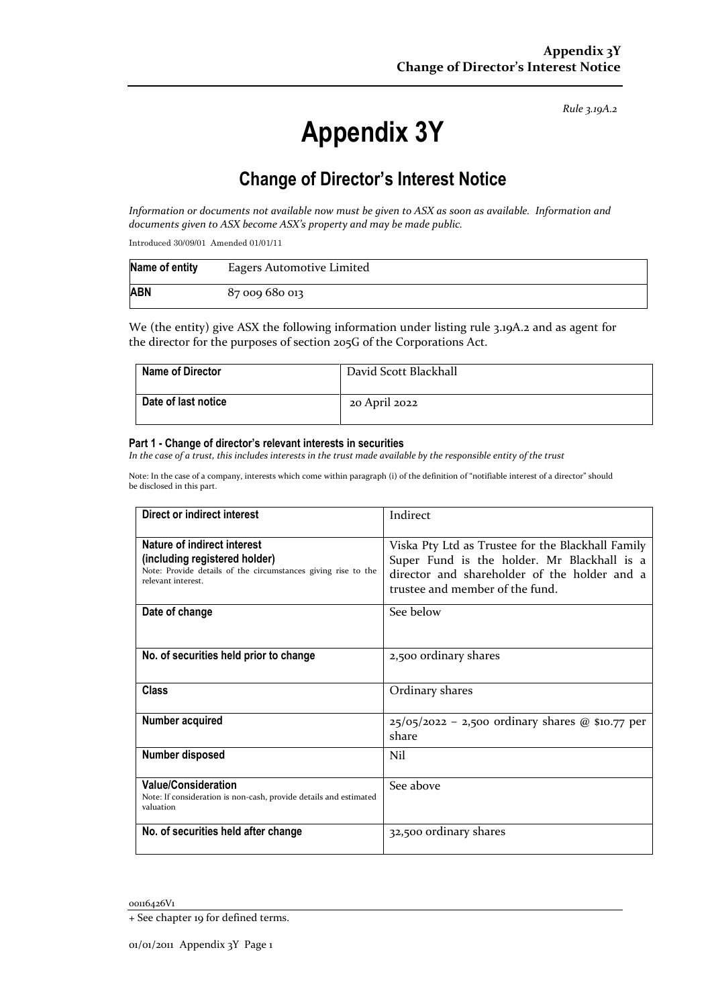*Rule 3.19A.2*

# **Appendix 3Y**

## **Change of Director's Interest Notice**

*Information or documents not available now must be given to ASX as soon as available. Information and documents given to ASX become ASX's property and may be made public.*

Introduced 30/09/01 Amended 01/01/11

| Name of entity | Eagers Automotive Limited |
|----------------|---------------------------|
| <b>ABN</b>     | 87 009 680 013            |

We (the entity) give ASX the following information under listing rule 3.19A.2 and as agent for the director for the purposes of section 205G of the Corporations Act.

| Name of Director    | David Scott Blackhall |
|---------------------|-----------------------|
| Date of last notice | 20 April 2022         |

#### **Part 1 - Change of director's relevant interests in securities**

*In the case of a trust, this includes interests in the trust made available by the responsible entity of the trust*

Note: In the case of a company, interests which come within paragraph (i) of the definition of "notifiable interest of a director" should be disclosed in this part.

| Direct or indirect interest                                                                                                                         | Indirect                                                                                                                                                                            |  |
|-----------------------------------------------------------------------------------------------------------------------------------------------------|-------------------------------------------------------------------------------------------------------------------------------------------------------------------------------------|--|
| Nature of indirect interest<br>(including registered holder)<br>Note: Provide details of the circumstances giving rise to the<br>relevant interest. | Viska Pty Ltd as Trustee for the Blackhall Family<br>Super Fund is the holder. Mr Blackhall is a<br>director and shareholder of the holder and a<br>trustee and member of the fund. |  |
| Date of change                                                                                                                                      | See below                                                                                                                                                                           |  |
| No. of securities held prior to change                                                                                                              | 2,500 ordinary shares                                                                                                                                                               |  |
| <b>Class</b>                                                                                                                                        | Ordinary shares                                                                                                                                                                     |  |
| Number acquired                                                                                                                                     | $25/05/2022 - 2,500$ ordinary shares @ \$10.77 per<br>share                                                                                                                         |  |
| <b>Number disposed</b>                                                                                                                              | Nil                                                                                                                                                                                 |  |
| <b>Value/Consideration</b><br>Note: If consideration is non-cash, provide details and estimated<br>valuation                                        | See above                                                                                                                                                                           |  |
| No. of securities held after change                                                                                                                 | 32,500 ordinary shares                                                                                                                                                              |  |

00116426V1

<sup>+</sup> See chapter 19 for defined terms.